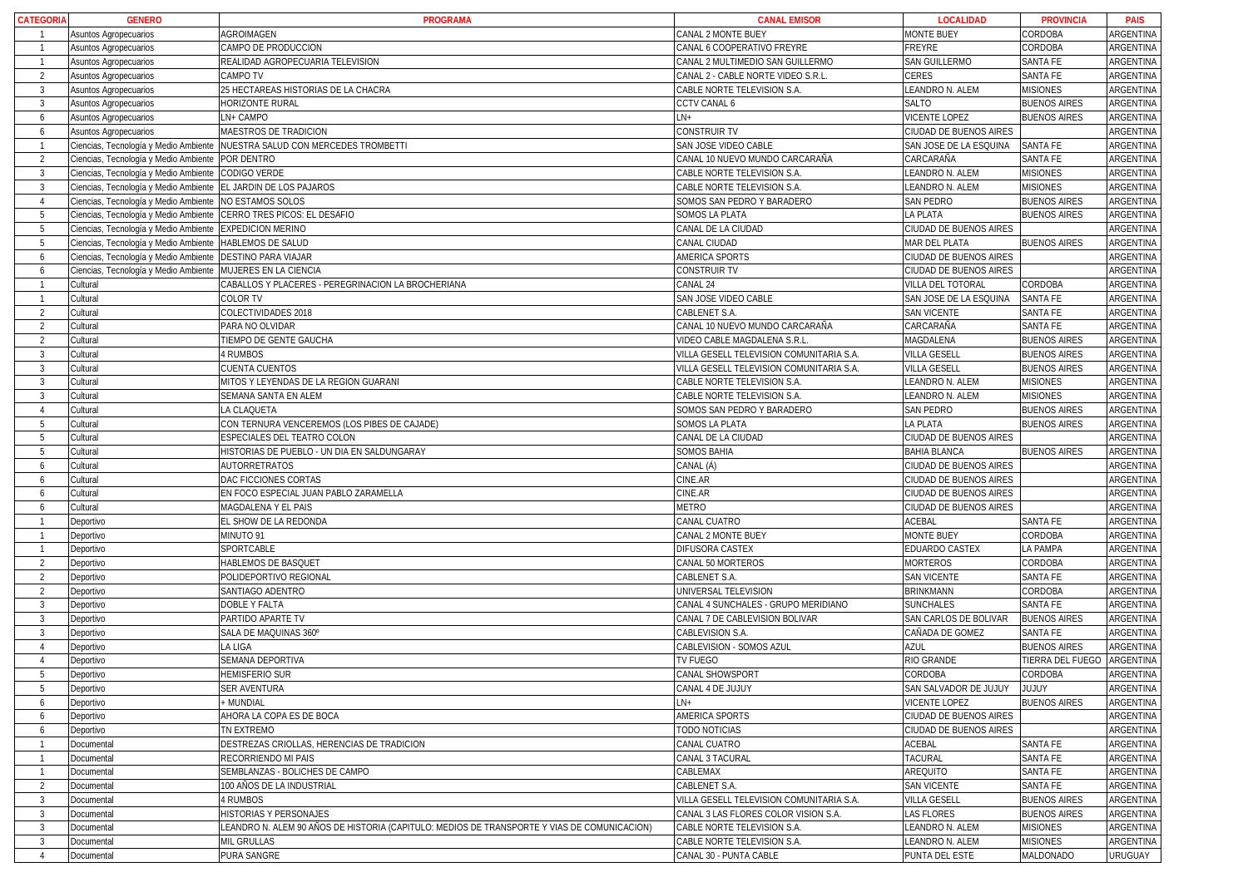| <b>CATEGORIA</b>         | <b>GENERO</b>                         | <b>PROGRAMA</b>                                                                             | <b>CANAL EMISOR</b>                      | <b>LOCALIDAD</b>       | <b>PROVINCIA</b>           | <b>PAIS</b> |
|--------------------------|---------------------------------------|---------------------------------------------------------------------------------------------|------------------------------------------|------------------------|----------------------------|-------------|
|                          | Asuntos Agropecuarios                 | AGROIMAGEN                                                                                  | CANAL 2 MONTE BUEY                       | <b>MONTE BUEY</b>      | CORDOBA                    | ARGENTINA   |
|                          | Asuntos Agropecuarios                 | CAMPO DE PRODUCCION                                                                         | CANAL 6 COOPERATIVO FREYRE               | FREYRE                 | CORDOBA                    | ARGENTINA   |
| $\overline{1}$           | Asuntos Agropecuarios                 | REALIDAD AGROPECUARIA TELEVISION                                                            | CANAL 2 MULTIMEDIO SAN GUILLERMO         | SAN GUILLERMO          | SANTA FE                   | ARGENTINA   |
| $\overline{2}$           | Asuntos Agropecuarios                 | CAMPO TV                                                                                    | CANAL 2 - CABLE NORTE VIDEO S.R.L        | CERES                  | SANTA FE                   | ARGENTINA   |
| $\overline{3}$           | Asuntos Agropecuarios                 | 25 HECTAREAS HISTORIAS DE LA CHACRA                                                         | CABLE NORTE TELEVISION S.A.              | LEANDRO N. ALEM        | <b>MISIONES</b>            | ARGENTINA   |
| $\overline{3}$           | Asuntos Agropecuarios                 | HORIZONTE RURAL                                                                             | <b>CCTV CANAL 6</b>                      | SALTO                  | <b>BUENOS AIRES</b>        | ARGENTINA   |
| 6                        | <b>Asuntos Agropecuarios</b>          | LN+ CAMPO                                                                                   | LN+                                      | <b>VICENTE LOPEZ</b>   | <b>BUENOS AIRES</b>        | ARGENTINA   |
| 6                        | Asuntos Agropecuarios                 | MAESTROS DE TRADICION                                                                       | <b>CONSTRUIR TV</b>                      | CIUDAD DE BUENOS AIRES |                            | ARGENTINA   |
|                          | Ciencias, Tecnología y Medio Ambiente | NUESTRA SALUD CON MERCEDES TROMBETTI                                                        | SAN JOSE VIDEO CABLE                     | SAN JOSE DE LA ESQUINA | SANTA FE                   | ARGENTINA   |
| 2                        | Ciencias, Tecnología y Medio Ambiente | POR DENTRO                                                                                  | CANAL 10 NUEVO MUNDO CARCARAÑA           | CARCARAÑA              | SANTA FE                   | ARGENTINA   |
| -3                       | Ciencias, Tecnología y Medio Ambiente | CODIGO VERDE                                                                                | CABLE NORTE TELEVISION S.A.              | LEANDRO N. ALEM        | <b>MISIONES</b>            | ARGENTINA   |
| $\overline{3}$           | Ciencias, Tecnología y Medio Ambiente | EL JARDIN DE LOS PAJAROS                                                                    | CABLE NORTE TELEVISION S.A.              | LEANDRO N. ALEM        | <b>MISIONES</b>            | ARGENTINA   |
| $\overline{A}$           | Ciencias, Tecnología y Medio Ambiente | NO ESTAMOS SOLOS                                                                            | SOMOS SAN PEDRO Y BARADERO               | <b>SAN PEDRO</b>       | <b>BUENOS AIRES</b>        | ARGENTINA   |
| -5                       | Ciencias, Tecnología y Medio Ambiente | CERRO TRES PICOS: EL DESAFIO                                                                | SOMOS LA PLATA                           | <b>LA PLATA</b>        | <b>BUENOS AIRES</b>        | ARGENTINA   |
| .5                       | Ciencias, Tecnología y Medio Ambiente | <b>EXPEDICION MERINO</b>                                                                    | CANAL DE LA CIUDAD                       | CIUDAD DE BUENOS AIRES |                            | ARGENTINA   |
| - 5                      | Ciencias, Tecnología y Medio Ambiente | <b>HABLEMOS DE SALUD</b>                                                                    | CANAL CIUDAD                             | MAR DEL PLATA          | <b>BUENOS AIRES</b>        | ARGENTINA   |
| 6                        | Ciencias, Tecnología y Medio Ambiente | <b>DESTINO PARA VIAJAR</b>                                                                  | AMERICA SPORTS                           | CIUDAD DE BUENOS AIRES |                            | ARGENTINA   |
| -6                       | Ciencias, Tecnología y Medio Ambiente | MUJERES EN LA CIENCIA                                                                       | CONSTRUIR TV                             | CIUDAD DE BUENOS AIRES |                            | ARGENTINA   |
|                          | Cultural                              | CABALLOS Y PLACERES - PEREGRINACION LA BROCHERIANA                                          | CANAL 24                                 | VILLA DEL TOTORAL      | CORDOBA                    | ARGENTINA   |
|                          | Cultural                              | COLOR TV                                                                                    | SAN JOSE VIDEO CABLE                     | SAN JOSE DE LA ESQUINA | <b>SANTA FE</b>            | ARGENTINA   |
| $\overline{2}$           | Cultural                              | COLECTIVIDADES 2018                                                                         | CABLENET S.A.                            | <b>SAN VICENTE</b>     | SANTA FE                   | ARGENTINA   |
| $\mathcal{P}$            | Cultural                              | PARA NO OLVIDAR                                                                             | CANAL 10 NUEVO MUNDO CARCARAÑA           | CARCARAÑA              | SANTA FE                   | ARGENTINA   |
| $\overline{2}$           | Cultural                              | TIEMPO DE GENTE GAUCHA                                                                      | VIDEO CABLE MAGDALENA S.R.L              | MAGDALENA              | <b>BUENOS AIRES</b>        | ARGENTINA   |
| -3                       | Cultural                              | 4 RUMBOS                                                                                    | VILLA GESELL TELEVISION COMUNITARIA S.A. | <b>VILLA GESELL</b>    | <b>BUENOS AIRES</b>        | ARGENTINA   |
| $\overline{3}$           | Cultural                              | <b>CUENTA CUENTOS</b>                                                                       | VILLA GESELL TELEVISION COMUNITARIA S.A. | <b>VILLA GESELL</b>    | <b>BUENOS AIRES</b>        | ARGENTINA   |
| $\mathcal{R}$            | Cultural                              | MITOS Y LEYENDAS DE LA REGION GUARANI                                                       | CABLE NORTE TELEVISION S.A.              | LEANDRO N. ALEM        | <b>MISIONES</b>            | ARGENTINA   |
| -3                       | Cultural                              | SEMANA SANTA EN ALEM                                                                        | CABLE NORTE TELEVISION S.A.              | LEANDRO N. ALEM        | <b>MISIONES</b>            | ARGENTINA   |
| $\overline{A}$           | Cultural                              | LA CLAQUETA                                                                                 | SOMOS SAN PEDRO Y BARADERO               | <b>SAN PEDRO</b>       | <b>BUENOS AIRES</b>        | ARGENTINA   |
| $\overline{5}$           | Cultural                              | CON TERNURA VENCEREMOS (LOS PIBES DE CAJADE)                                                | SOMOS LA PLATA                           | LA PLATA               | <b>BUENOS AIRES</b>        | ARGENTINA   |
| -5                       | Cultural                              | <b>ESPECIALES DEL TEATRO COLON</b>                                                          | CANAL DE LA CIUDAD                       | CIUDAD DE BUENOS AIRES |                            | ARGENTINA   |
| .5                       | Cultural                              | HISTORIAS DE PUEBLO - UN DIA EN SALDUNGARAY                                                 | SOMOS BAHIA                              | <b>BAHIA BLANCA</b>    | <b>BUENOS AIRES</b>        | ARGENTINA   |
| 6                        | Cultural                              | AUTORRETRATOS                                                                               | CANAL (Á)                                | CIUDAD DE BUENOS AIRES |                            | ARGENTINA   |
| 6                        | Cultural                              | DAC FICCIONES CORTAS                                                                        | CINE.AR                                  | CIUDAD DE BUENOS AIRES |                            | ARGENTINA   |
| 6                        | Cultural                              | EN FOCO ESPECIAL JUAN PABLO ZARAMELLA                                                       | CINE.AR                                  | CIUDAD DE BUENOS AIRES |                            | ARGENTINA   |
| 6                        | Cultural                              | MAGDALENA Y EL PAIS                                                                         | <b>METRO</b>                             | CIUDAD DE BUENOS AIRES |                            | ARGENTINA   |
|                          | Deportivo                             | EL SHOW DE LA REDONDA                                                                       | CANAL CUATRO                             | ACEBAL                 | SANTA FE                   | ARGENTINA   |
|                          | Deportivo                             | MINUTO 91                                                                                   | CANAL 2 MONTE BUEY                       | MONTE BUEY             | CORDOBA                    | ARGENTINA   |
|                          | Deportivo                             | SPORTCABLE                                                                                  | DIFUSORA CASTEX                          | EDUARDO CASTEX         | LA PAMPA                   | ARGENTINA   |
| $\overline{2}$           | Deportivo                             | HABLEMOS DE BASQUET                                                                         | CANAL 50 MORTEROS                        | <b>MORTEROS</b>        | CORDOBA                    | ARGENTINA   |
| $\overline{2}$           | Deportivo                             | POLIDEPORTIVO REGIONAL                                                                      | CABLENET S.A.                            | <b>SAN VICENTE</b>     | SANTA FE                   | ARGENTINA   |
| $\overline{\phantom{a}}$ | Deportivo                             | SANTIAGO ADENTRO                                                                            | UNIVERSAL TELEVISION                     | BRINKMANN              | CORDOBA                    | ARGENTINA   |
| $\overline{3}$           | Deportivo                             | <b>DOBLE Y FALTA</b>                                                                        | CANAL 4 SUNCHALES - GRUPO MERIDIANO      | <b>SUNCHALES</b>       | SANTA FE                   | ARGENTINA   |
| $\overline{3}$           | Deportivo                             | PARTIDO APARTE TV                                                                           | CANAL 7 DE CABLEVISION BOLIVAR           | SAN CARLOS DE BOLIVAR  | <b>BUENOS AIRES</b>        | ARGENTINA   |
| $\overline{3}$           | Deportivo                             | SALA DE MAQUINAS 360°                                                                       | CABLEVISION S.A.                         | CAÑADA DE GOMEZ        | SANTA FE                   | ARGENTINA   |
|                          | Deportivo                             | LA LIGA                                                                                     | CABLEVISION - SOMOS AZUL                 | AZUL                   | <b>BUENOS AIRES</b>        | ARGENTINA   |
| $\overline{4}$           | Deportivo                             | SEMANA DEPORTIVA                                                                            | TV FUEGO                                 | RIO GRANDE             | TIERRA DEL FUEGO ARGENTINA |             |
| 5                        | Deportivo                             | <b>HEMISFERIO SUR</b>                                                                       | CANAL SHOWSPORT                          | CORDOBA                | CORDOBA                    | ARGENTINA   |
| -5                       | Deportivo                             | SER AVENTURA                                                                                | CANAL 4 DE JUJUY                         | SAN SALVADOR DE JUJUY  | YUJUY                      | ARGENTINA   |
| 6                        | Deportivo                             | <b>MUNDIAL</b>                                                                              | LN+                                      | <b>VICENTE LOPEZ</b>   | <b>BUENOS AIRES</b>        | ARGENTINA   |
| 6                        | Deportivo                             | AHORA LA COPA ES DE BOCA                                                                    | AMERICA SPORTS                           | CIUDAD DE BUENOS AIRES |                            | ARGENTINA   |
| 6                        | Deportivo                             | TN EXTREMO                                                                                  | TODO NOTICIAS                            | CIUDAD DE BUENOS AIRES |                            | ARGENTINA   |
|                          | Documental                            | DESTREZAS CRIOLLAS, HERENCIAS DE TRADICION                                                  | CANAL CUATRO                             | ACEBAL                 | SANTA FE                   | ARGENTINA   |
|                          | Documental                            | RECORRIENDO MI PAIS                                                                         | CANAL 3 TACURAL                          | TACURAL                | SANTA FE                   | ARGENTINA   |
|                          | Documental                            | SEMBLANZAS - BOLICHES DE CAMPO                                                              | CABLEMAX                                 | AREQUITO               | SANTA FE                   | ARGENTINA   |
| $\overline{2}$           | Documental                            | 100 AÑOS DE LA INDUSTRIAL                                                                   | CABLENET S.A.                            | <b>SAN VICENTE</b>     | SANTA FE                   | ARGENTINA   |
| -3                       | Documental                            | 4 RUMBOS                                                                                    | VILLA GESELL TELEVISION COMUNITARIA S.A. | <b>VILLA GESELL</b>    | <b>BUENOS AIRES</b>        | ARGENTINA   |
| -3                       | Documental                            | HISTORIAS Y PERSONAJES                                                                      | CANAL 3 LAS FLORES COLOR VISION S.A.     | <b>LAS FLORES</b>      | <b>BUENOS AIRES</b>        | ARGENTINA   |
| $\overline{3}$           | Documental                            | LEANDRO N. ALEM 90 AÑOS DE HISTORIA (CAPITULO: MEDIOS DE TRANSPORTE Y VIAS DE COMUNICACION) | CABLE NORTE TELEVISION S.A.              | LEANDRO N. ALEM        | <b>MISIONES</b>            | ARGENTINA   |
| 3                        | Documental                            | MIL GRULLAS                                                                                 | CABLE NORTE TELEVISION S.A.              | LEANDRO N. ALEM        | <b>MISIONES</b>            | ARGENTINA   |
| $\overline{4}$           | Documental                            | PURA SANGRE                                                                                 | CANAL 30 - PUNTA CABLE                   | PUNTA DEL ESTE         | MALDONADO                  | URUGUAY     |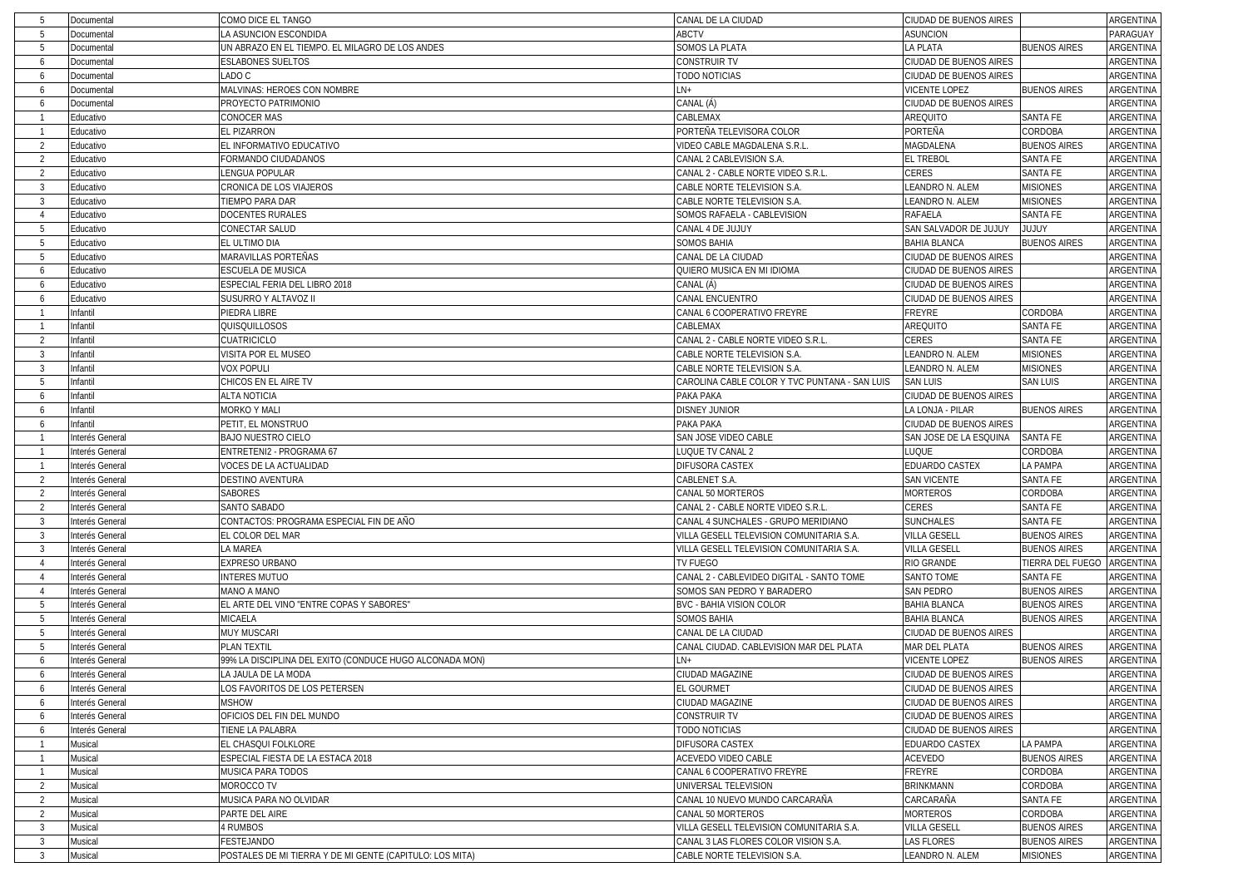| -5                       | Documental      | COMO DICE EL TANGO                                       | CANAL DE LA CIUDAD                            | CIUDAD DE BUENOS AIRES |                     | ARGENTINA        |
|--------------------------|-----------------|----------------------------------------------------------|-----------------------------------------------|------------------------|---------------------|------------------|
| -5                       | Documental      | LA ASUNCION ESCONDIDA                                    | ABCTV                                         | <b>ASUNCION</b>        |                     | PARAGUAY         |
| -5                       | Documental      | UN ABRAZO EN EL TIEMPO. EL MILAGRO DE LOS ANDES          | SOMOS LA PLATA                                | LA PLATA               | <b>BUENOS AIRES</b> | ARGENTINA        |
| 6                        | Documental      | <b>ESLABONES SUELTOS</b>                                 | CONSTRUIR TV                                  | CIUDAD DE BUENOS AIRES |                     | ARGENTINA        |
| -6                       | Documental      | LADO C                                                   | TODO NOTICIAS                                 | CIUDAD DE BUENOS AIRES |                     | ARGENTINA        |
| 6                        | Documental      | MALVINAS: HEROES CON NOMBRE                              | $LN+$                                         | <b>VICENTE LOPEZ</b>   | <b>BUENOS AIRES</b> | ARGENTINA        |
| 6                        | Documental      | PROYECTO PATRIMONIO                                      | CANAL (Á)                                     | CIUDAD DE BUENOS AIRES |                     | ARGENTINA        |
|                          | Educativo       | <b>CONOCER MAS</b>                                       | CABLEMAX                                      | AREQUITO               | <b>SANTA FE</b>     | <b>ARGENTINA</b> |
|                          | Educativo       | EL PIZARRON                                              | PORTEÑA TELEVISORA COLOR                      | PORTEÑA                | CORDOBA             | ARGENTINA        |
| $\overline{2}$           | Educativo       | EL INFORMATIVO EDUCATIVO                                 | VIDEO CABLE MAGDALENA S.R.L.                  | MAGDALENA              | <b>BUENOS AIRES</b> | ARGENTINA        |
| $\overline{2}$           | Educativo       | FORMANDO CIUDADANOS                                      | CANAL 2 CABLEVISION S.A.                      | <b>EL TREBOL</b>       | SANTA FE            | ARGENTINA        |
| $\overline{\phantom{a}}$ | Educativo       | LENGUA POPULAR                                           | CANAL 2 - CABLE NORTE VIDEO S.R.L             | CERES                  | SANTA FE            | ARGENTINA        |
| $\overline{3}$           | Educativo       | CRONICA DE LOS VIAJEROS                                  | CABLE NORTE TELEVISION S.A.                   | LEANDRO N. ALEM        | <b>MISIONES</b>     | ARGENTINA        |
| $\overline{3}$           | Educativo       | TIEMPO PARA DAR                                          | CABLE NORTE TELEVISION S.A.                   | LEANDRO N. ALEM        | <b>MISIONES</b>     | ARGENTINA        |
| $\overline{4}$           | Educativo       | <b>DOCENTES RURALES</b>                                  | SOMOS RAFAELA - CABLEVISION                   | <b>RAFAELA</b>         | <b>SANTA FE</b>     | ARGENTINA        |
| -5                       | Educativo       | CONECTAR SALUD                                           | CANAL 4 DE JUJUY                              | SAN SALVADOR DE JUJUY  | YUJUY               | ARGENTINA        |
| -5                       | Educativo       | EL ULTIMO DIA                                            | SOMOS BAHIA                                   | <b>BAHIA BLANCA</b>    | <b>BUENOS AIRES</b> | ARGENTINA        |
| -5                       | Educativo       | MARAVILLAS PORTEÑAS                                      | CANAL DE LA CIUDAD                            | CIUDAD DE BUENOS AIRES |                     | ARGENTINA        |
| 6                        | Educativo       | <b>ESCUELA DE MUSICA</b>                                 | QUIERO MUSICA EN MI IDIOMA                    | CIUDAD DE BUENOS AIRES |                     | ARGENTINA        |
| 6                        | Educativo       | ESPECIAL FERIA DEL LIBRO 2018                            | CANAL (Á)                                     | CIUDAD DE BUENOS AIRES |                     | ARGENTINA        |
| 6                        | Educativo       | SUSURRO Y ALTAVOZ II                                     | CANAL ENCUENTRO                               | CIUDAD DE BUENOS AIRES |                     | ARGENTINA        |
| $\overline{1}$           | Infantil        | PIEDRA LIBRE                                             | CANAL 6 COOPERATIVO FREYRE                    | <b>FREYRE</b>          | CORDOBA             | ARGENTINA        |
|                          | Infantil        | QUISQUILLOSOS                                            | CABLEMAX                                      | AREQUITO               | SANTA FE            | ARGENTINA        |
| $\overline{2}$           | Infantil        | CUATRICICLO                                              | CANAL 2 - CABLE NORTE VIDEO S.R.L.            | CERES                  | SANTA FE            | ARGENTINA        |
| $\overline{3}$           | Infantil        | VISITA POR EL MUSEO                                      | CABLE NORTE TELEVISION S.A.                   | LEANDRO N. ALEM        | <b>MISIONES</b>     | ARGENTINA        |
|                          | Infantil        |                                                          |                                               |                        |                     |                  |
| -3                       |                 | <b>VOX POPULI</b>                                        | CABLE NORTE TELEVISION S.A.                   | LEANDRO N. ALEM        | <b>MISIONES</b>     | ARGENTINA        |
| -5                       | Infantil        | CHICOS EN EL AIRE TV                                     | CAROLINA CABLE COLOR Y TVC PUNTANA - SAN LUIS | <b>SAN LUIS</b>        | <b>SAN LUIS</b>     | ARGENTINA        |
| 6                        | Infantil        | <b>ALTA NOTICIA</b>                                      | PAKA PAKA                                     | CIUDAD DE BUENOS AIRES |                     | ARGENTINA        |
| 6                        | Infantil        | <b>MORKO Y MALI</b>                                      | DISNEY JUNIOR<br>PAKA PAKA                    | LA LONJA - PILAR       | <b>BUENOS AIRES</b> | ARGENTINA        |
| 6                        | Infantil        | PETIT, EL MONSTRUO                                       |                                               | CIUDAD DE BUENOS AIRES |                     | ARGENTINA        |
|                          | Interés General | <b>BAJO NUESTRO CIELO</b>                                | SAN JOSE VIDEO CABLE                          | SAN JOSE DE LA ESQUINA | SANTA FE            | ARGENTINA        |
|                          | Interés General | ENTRETENI2 - PROGRAMA 67                                 | LUQUE TV CANAL 2                              | LUQUE                  | CORDOBA             | ARGENTINA        |
|                          | Interés General | VOCES DE LA ACTUALIDAD                                   | DIFUSORA CASTEX                               | EDUARDO CASTEX         | LA PAMPA            | ARGENTINA        |
| $\overline{2}$           | Interés General | DESTINO AVENTURA                                         | CABLENET S.A.                                 | <b>SAN VICENTE</b>     | SANTA FE            | ARGENTINA        |
| $\overline{2}$           | Interés General | SABORES                                                  | CANAL 50 MORTEROS                             | <b>MORTEROS</b>        | CORDOBA             | ARGENTINA        |
| $\overline{2}$           | Interés General | SANTO SABADO                                             | CANAL 2 - CABLE NORTE VIDEO S.R.L             | CERES                  | <b>SANTA FE</b>     | ARGENTINA        |
| $\overline{3}$           | Interés General | CONTACTOS: PROGRAMA ESPECIAL FIN DE AÑO                  | CANAL 4 SUNCHALES - GRUPO MERIDIANO           | <b>SUNCHALES</b>       | SANTA FE            | ARGENTINA        |
| $\overline{3}$           | Interés General | EL COLOR DEL MAR                                         | VILLA GESELL TELEVISION COMUNITARIA S.A.      | <b>VILLA GESELL</b>    | <b>BUENOS AIRES</b> | ARGENTINA        |
| 3                        | Interés General | LA MAREA                                                 | VILLA GESELL TELEVISION COMUNITARIA S.A.      | <b>VILLA GESELL</b>    | <b>BUENOS AIRES</b> | ARGENTINA        |
| $\overline{4}$           | Interés General | EXPRESO URBANO                                           | TV FUEGO                                      | RIO GRANDE             | TIERRA DEL FUEGO    | ARGENTINA        |
| $\overline{4}$           | Interés General | <b>INTERES MUTUO</b>                                     | CANAL 2 - CABLEVIDEO DIGITAL - SANTO TOME     | <b>SANTO TOME</b>      | SANTA FE            | <b>ARGENTINA</b> |
| - 4                      | Interés General | MANO A MANO                                              | SOMOS SAN PEDRO Y BARADERO                    | <b>SAN PEDRO</b>       | <b>BUENOS AIRES</b> | ARGENTINA        |
| -5                       | Interés General | EL ARTE DEL VINO "ENTRE COPAS Y SABORES"                 | BVC - BAHIA VISION COLOR                      | <b>BAHIA BLANCA</b>    | <b>BUENOS AIRES</b> | ARGENTINA        |
| -5                       | Interés General | MICAELA                                                  | <b>SOMOS BAHIA</b>                            | <b>BAHIA BLANCA</b>    | <b>BUENOS AIRES</b> | ARGENTINA        |
| -5                       | Interés General | <b>MUY MUSCARI</b>                                       | CANAL DE LA CIUDAD                            | CIUDAD DE BUENOS AIRES |                     | ARGENTINA        |
| -5                       | nterés General  | PLAN TEXTIL                                              | CANAL CIUDAD. CABLEVISION MAR DEL PLATA       | MAR DEL PLATA          | <b>BUENOS AIRES</b> | ARGENTINA        |
| 6                        | Interés General | 99% LA DISCIPLINA DEL EXITO (CONDUCE HUGO ALCONADA MON)  | LN+                                           | <b>VICENTE LOPEZ</b>   | <b>BUENOS AIRES</b> | ARGENTINA        |
|                          | Interés General | LA JAULA DE LA MODA                                      | CIUDAD MAGAZINE                               | CIUDAD DE BUENOS AIRES |                     | <b>ARGENTINA</b> |
| -6                       | Interés General | LOS FAVORITOS DE LOS PETERSEN                            | EL GOURMET                                    | CIUDAD DE BUENOS AIRES |                     | ARGENTINA        |
| 6                        | Interés General | <b>MSHOW</b>                                             | CIUDAD MAGAZINE                               | CIUDAD DE BUENOS AIRES |                     | ARGENTINA        |
| 6                        | Interés General | OFICIOS DEL FIN DEL MUNDO                                | CONSTRUIR TV                                  | CIUDAD DE BUENOS AIRES |                     | ARGENTINA        |
| 6                        | Interés General | TIENE LA PALABRA                                         | <b>TODO NOTICIAS</b>                          | CIUDAD DE BUENOS AIRES |                     | ARGENTINA        |
|                          | Musical         | EL CHASQUI FOLKLORE                                      | DIFUSORA CASTEX                               | EDUARDO CASTEX         | LA PAMPA            | ARGENTINA        |
|                          | Musical         | ESPECIAL FIESTA DE LA ESTACA 2018                        | ACEVEDO VIDEO CABLE                           | ACEVEDO                | <b>BUENOS AIRES</b> | ARGENTINA        |
|                          | Musical         | MUSICA PARA TODOS                                        | CANAL 6 COOPERATIVO FREYRE                    | FREYRE                 | CORDOBA             | ARGENTINA        |
| $\overline{2}$           | Musical         | MOROCCO TV                                               | UNIVERSAL TELEVISION                          | BRINKMANN              | CORDOBA             | <b>ARGENTINA</b> |
| $\overline{2}$           | Musical         | MUSICA PARA NO OLVIDAR                                   | CANAL 10 NUEVO MUNDO CARCARAÑA                | CARCARAÑA              | SANTA FE            | ARGENTINA        |
| $\overline{2}$           | Musical         | PARTE DEL AIRE                                           | CANAL 50 MORTEROS                             | <b>MORTEROS</b>        | CORDOBA             | ARGENTINA        |
| $\overline{3}$           | Musical         | 4 RUMBOS                                                 | VILLA GESELL TELEVISION COMUNITARIA S.A.      | <b>VILLA GESELL</b>    | <b>BUENOS AIRES</b> | ARGENTINA        |
| $\overline{3}$           | Musical         | FESTEJANDO                                               | CANAL 3 LAS FLORES COLOR VISION S.A.          | <b>LAS FLORES</b>      | <b>BUENOS AIRES</b> | ARGENTINA        |
| $\overline{3}$           | Musical         | POSTALES DE MI TIERRA Y DE MI GENTE (CAPITULO: LOS MITA) | CABLE NORTE TELEVISION S.A.                   | LEANDRO N. ALEM        | <b>MISIONES</b>     | ARGENTINA        |